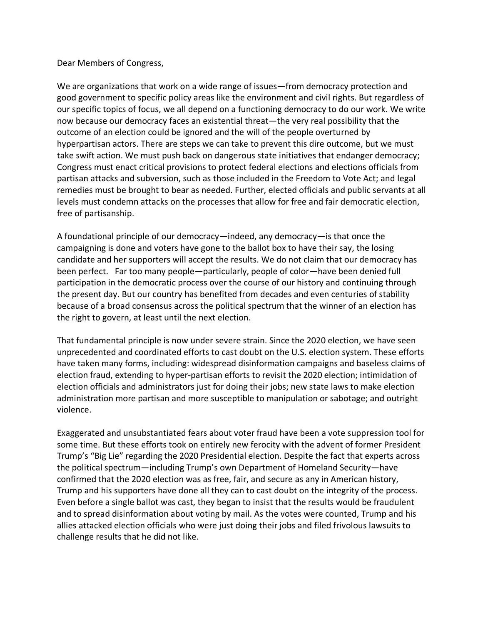## Dear Members of Congress,

We are organizations that work on a wide range of issues—from democracy protection and good government to specific policy areas like the environment and civil rights. But regardless of our specific topics of focus, we all depend on a functioning democracy to do our work. We write now because our democracy faces an existential threat—the very real possibility that the outcome of an election could be ignored and the will of the people overturned by hyperpartisan actors. There are steps we can take to prevent this dire outcome, but we must take swift action. We must push back on dangerous state initiatives that endanger democracy; Congress must enact critical provisions to protect federal elections and elections officials from partisan attacks and subversion, such as those included in the Freedom to Vote Act; and legal remedies must be brought to bear as needed. Further, elected officials and public servants at all levels must condemn attacks on the processes that allow for free and fair democratic election, free of partisanship.

A foundational principle of our democracy—indeed, any democracy—is that once the campaigning is done and voters have gone to the ballot box to have their say, the losing candidate and her supporters will accept the results. We do not claim that our democracy has been perfect. Far too many people—particularly, people of color—have been denied full participation in the democratic process over the course of our history and continuing through the present day. But our country has benefited from decades and even centuries of stability because of a broad consensus across the political spectrum that the winner of an election has the right to govern, at least until the next election.

That fundamental principle is now under severe strain. Since the 2020 election, we have seen unprecedented and coordinated efforts to cast doubt on the U.S. election system. These efforts have taken many forms, including: widespread disinformation campaigns and baseless claims of election fraud, extending to hyper-partisan efforts to revisit the 2020 election; intimidation of election officials and administrators just for doing their jobs; new state laws to make election administration more partisan and more susceptible to manipulation or sabotage; and outright violence.

Exaggerated and unsubstantiated fears about voter fraud have been a vote suppression tool for some time. But these efforts took on entirely new ferocity with the advent of former President Trump's "Big Lie" regarding the 2020 Presidential election. Despite the fact that experts across the political spectrum—including Trump's own Department of Homeland Security—have confirmed that the 2020 election was as free, fair, and secure as any in American history, Trump and his supporters have done all they can to cast doubt on the integrity of the process. Even before a single ballot was cast, they began to insist that the results would be fraudulent and to spread disinformation about voting by mail. As the votes were counted, Trump and his allies attacked election officials who were just doing their jobs and filed frivolous lawsuits to challenge results that he did not like.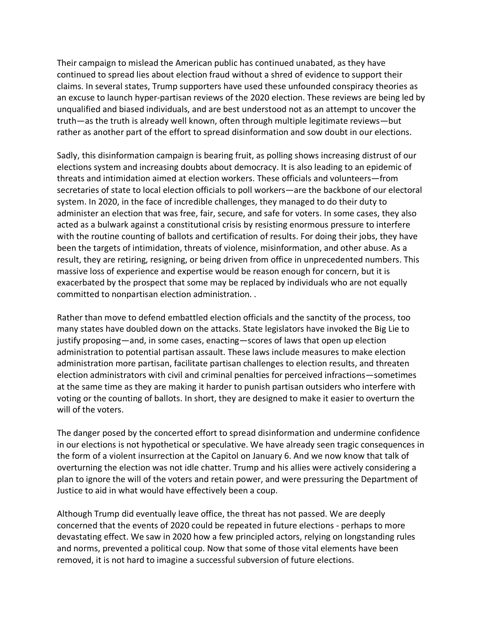Their campaign to mislead the American public has continued unabated, as they have continued to spread lies about election fraud without a shred of evidence to support their claims. In several states, Trump supporters have used these unfounded conspiracy theories as an excuse to launch hyper-partisan reviews of the 2020 election. These reviews are being led by unqualified and biased individuals, and are best understood not as an attempt to uncover the truth—as the truth is already well known, often through multiple legitimate reviews—but rather as another part of the effort to spread disinformation and sow doubt in our elections.

Sadly, this disinformation campaign is bearing fruit, as polling shows increasing distrust of our elections system and increasing doubts about democracy. It is also leading to an epidemic of threats and intimidation aimed at election workers. These officials and volunteers—from secretaries of state to local election officials to poll workers—are the backbone of our electoral system. In 2020, in the face of incredible challenges, they managed to do their duty to administer an election that was free, fair, secure, and safe for voters. In some cases, they also acted as a bulwark against a constitutional crisis by resisting enormous pressure to interfere with the routine counting of ballots and certification of results. For doing their jobs, they have been the targets of intimidation, threats of violence, misinformation, and other abuse. As a result, they are retiring, resigning, or being driven from office in unprecedented numbers. This massive loss of experience and expertise would be reason enough for concern, but it is exacerbated by the prospect that some may be replaced by individuals who are not equally committed to nonpartisan election administration. .

Rather than move to defend embattled election officials and the sanctity of the process, too many states have doubled down on the attacks. State legislators have invoked the Big Lie to justify proposing—and, in some cases, enacting—scores of laws that open up election administration to potential partisan assault. These laws include measures to make election administration more partisan, facilitate partisan challenges to election results, and threaten election administrators with civil and criminal penalties for perceived infractions—sometimes at the same time as they are making it harder to punish partisan outsiders who interfere with voting or the counting of ballots. In short, they are designed to make it easier to overturn the will of the voters.

The danger posed by the concerted effort to spread disinformation and undermine confidence in our elections is not hypothetical or speculative. We have already seen tragic consequences in the form of a violent insurrection at the Capitol on January 6. And we now know that talk of overturning the election was not idle chatter. Trump and his allies were actively considering a plan to ignore the will of the voters and retain power, and were pressuring the Department of Justice to aid in what would have effectively been a coup.

Although Trump did eventually leave office, the threat has not passed. We are deeply concerned that the events of 2020 could be repeated in future elections - perhaps to more devastating effect. We saw in 2020 how a few principled actors, relying on longstanding rules and norms, prevented a political coup. Now that some of those vital elements have been removed, it is not hard to imagine a successful subversion of future elections.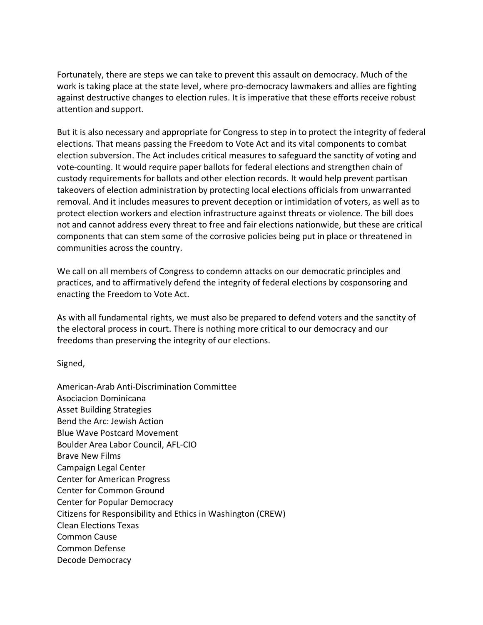Fortunately, there are steps we can take to prevent this assault on democracy. Much of the work is taking place at the state level, where pro-democracy lawmakers and allies are fighting against destructive changes to election rules. It is imperative that these efforts receive robust attention and support.

But it is also necessary and appropriate for Congress to step in to protect the integrity of federal elections. That means passing the Freedom to Vote Act and its vital components to combat election subversion. The Act includes critical measures to safeguard the sanctity of voting and vote-counting. It would require paper ballots for federal elections and strengthen chain of custody requirements for ballots and other election records. It would help prevent partisan takeovers of election administration by protecting local elections officials from unwarranted removal. And it includes measures to prevent deception or intimidation of voters, as well as to protect election workers and election infrastructure against threats or violence. The bill does not and cannot address every threat to free and fair elections nationwide, but these are critical components that can stem some of the corrosive policies being put in place or threatened in communities across the country.

We call on all members of Congress to condemn attacks on our democratic principles and practices, and to affirmatively defend the integrity of federal elections by cosponsoring and enacting the Freedom to Vote Act.

As with all fundamental rights, we must also be prepared to defend voters and the sanctity of the electoral process in court. There is nothing more critical to our democracy and our freedoms than preserving the integrity of our elections.

Signed,

American-Arab Anti-Discrimination Committee Asociacion Dominicana Asset Building Strategies Bend the Arc: Jewish Action Blue Wave Postcard Movement Boulder Area Labor Council, AFL-CIO Brave New Films Campaign Legal Center Center for American Progress Center for Common Ground Center for Popular Democracy Citizens for Responsibility and Ethics in Washington (CREW) Clean Elections Texas Common Cause Common Defense Decode Democracy